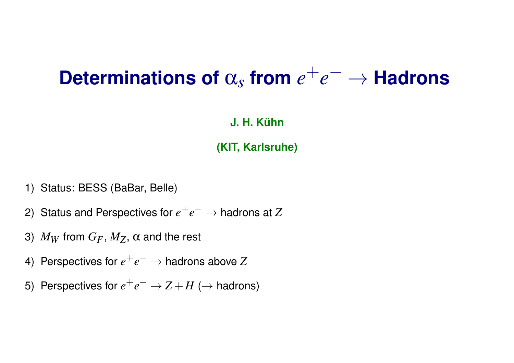### **Determinations of** α*s* **from** *e* +*e* <sup>−</sup> → **Hadrons**

#### **J. H. Kühn**

#### **(KIT, Karlsruhe)**

- 1) Status: BESS (BaBar, Belle)
- 2) Status and Perspectives for  $e^+e^- \to$  hadrons at  $Z$
- 3)  $M_W$  from  $G_F$ ,  $M_Z$ ,  $\alpha$  and the rest
- 4) Perspectives for  $e^+e^- \to$  hadrons above  $Z$
- 5) Perspectives for  $e^+e^- \rightarrow Z+H$  ( $\rightarrow$  hadrons)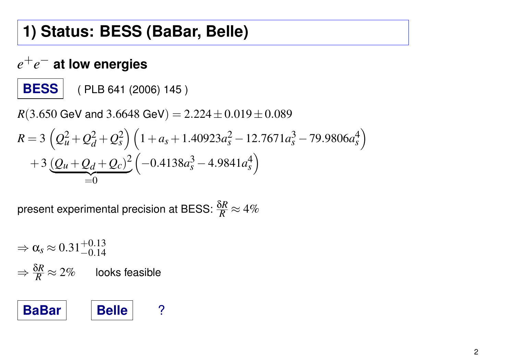## **1) Status: BESS (BaBar, Belle)**

## *e* +*e* − **at low energies**

**BESS** ( PLB 641 (2006) 145 )

*R*(3.650 GeV and 3.6648 GeV) =  $2.224 \pm 0.019 \pm 0.089$  $R = 3$  $\overline{1}$  $Q_u^2 + Q_d^2 + Q_s^2$  $\binom{2}{s}$   $\left(1+a_s+1.40923a_s^2-12.7671a_s^3-79.9806a_s^4\right)$ *s*  $+3(Q_u+Q_d+Q_c)^2$  $=0$  $\overline{1}$  $-0.4138a_s^3 - 4.9841a_s^4$ *s*  $\overline{\phantom{0}}$ 

present experimental precision at BESS:  $\frac{\delta R}{R}\approx 4\%$ 

$$
\Rightarrow \alpha_s \approx 0.31^{+0.13}_{-0.14}
$$

$$
\Rightarrow \frac{\delta R}{R} \approx 2\%
$$
 looks feasible



 $\overline{\phantom{0}}$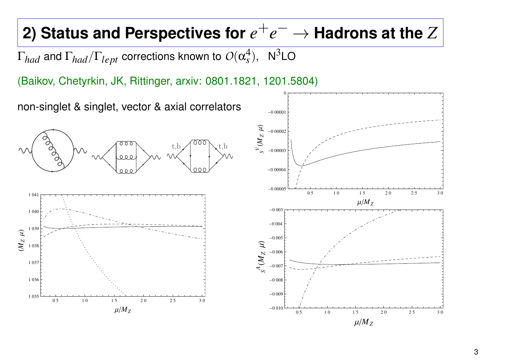# **2) Status and Perspectives for**  $e^+e^-$  **→ Hadrons at the**  $Z$

 $\Gamma_{had}$  and  $\Gamma_{had}/\Gamma_{lept}$  corrections known to  $O(\alpha_s^4)$  $s^{4}$ ), N<sup>3</sup>LO

(Baikov, Chetyrkin, JK, Rittinger, arxiv: 0801.1821, 1201.5804)

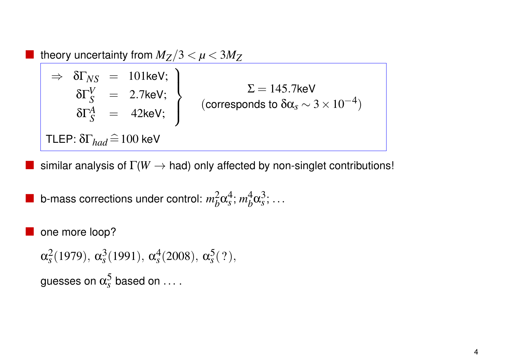theory uncertainty from  $M_Z/3 < \mu < 3M_Z$ 

 $\Rightarrow$   $\delta\Gamma_{NS}$  = 101keV;  $\Big)$  $\delta\Gamma_S^V$  = 2.7keV;  $\delta\Gamma_S^A$  = 42keV;  $\overline{\mathcal{L}}$  $\int$  $\Sigma=145.7$ keV (corresponds to δ $α<sub>s</sub>$  ∼ 3 × 10<sup>-4</sup>) TLEP:  $\delta\Gamma_{had} \widehat{=} 100$  keV

similar analysis of  $\Gamma(W \to \text{had})$  only affected by non-singlet contributions!

*s* ( ?),

**b**-mass corrections under control:  $m_b^2$  $<sub>b</sub><sup>2</sup>α<sub>s</sub><sup>4</sup>$ </sub> *s* ; *m* 4  $<sup>4</sup><sub>b</sub>α<sup>3</sup><sub>s</sub>$ </sup> *s* ; ...

 one more loop?  $\alpha_s^2$  $s^2(1979), \alpha_s^3$  $\frac{3}{s}(1991), \ \alpha_s^4$  $_s^4(2008)$ ,  $\alpha_s^5$ guesses on  $\alpha_s^5$  based on  $\dots$  .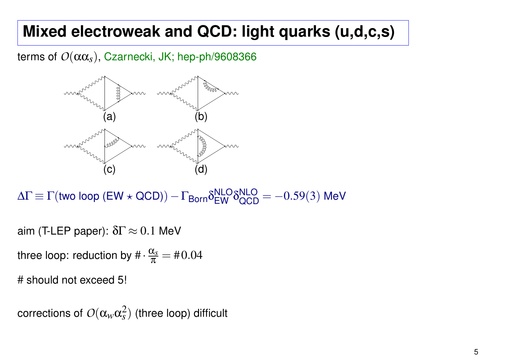## **Mixed electroweak and QCD: light quarks (u,d,c,s)**

terms of  $O(\alpha \alpha_s)$ , Czarnecki, JK; hep-ph/9608366



 $\Delta\Gamma\equiv\Gamma(\textsf{two loop (EW}\star \textsf{QCD)})-\Gamma_{\textsf{Born}}\delta_{\textsf{EW}}^{\textsf{NLO}}\delta_{\textsf{QCD}}^{\textsf{NLO}}=-0.59(3)$  MeV

aim (T-LEP paper):  $\delta\Gamma \approx 0.1$  MeV

three loop: reduction by  $\#\cdot \frac{\alpha_s}{\pi}$  $\frac{x_{s}}{\pi} = \text{\#}0.04$ 

# should not exceed 5!

corrections of  $O(\alpha_w\alpha_s^2)$  $s<sub>s</sub><sup>2</sup>$ ) (three loop) difficult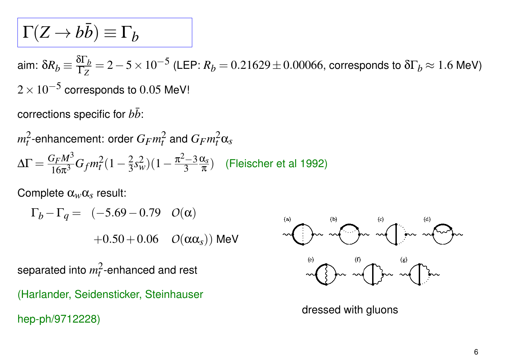$$
\Gamma(Z\to b\bar{b})\equiv\Gamma_b
$$

aim:  $\delta R_b \equiv \frac{\delta \Gamma_b}{\Gamma_Z}$  $\frac{\delta \Gamma_b}{\Gamma_Z}$  = 2  $-$  5  $\times$   $10^{-5}$  (LEP:  $R_b$  =  $0.21629$   $\pm$   $0.00066$ , corresponds to  $\delta \Gamma_b$   $\approx$   $1.6$  MeV)  $2\times10^{-5}$  corresponds to  $0.05$  MeV!

corrections specific for  $b\bar{b}$ :

$$
m_t^2
$$
-enhancement: order  $G_F m_t^2$  and  $G_F m_t^2 \alpha_s$   

$$
\Delta \Gamma = \frac{G_F M^3}{16\pi^3} G_f m_t^2 (1 - \frac{2}{3} s_w^2)(1 - \frac{\pi^2 - 3}{3} \frac{\alpha_s}{\pi})
$$
 (Fleischer et al 1992)

Complete α*w*α*s* result:

$$
\Gamma_b - \Gamma_q = (-5.69 - 0.79 \quad O(\alpha)
$$
  
+0.50 + 0.06 \quad O(\alpha \alpha\_s)) MeV

separated into  $m_t^2$  $t^2$ -enhanced and rest (Harlander, Seidensticker, Steinhauser hep-ph/9712228)



dressed with gluons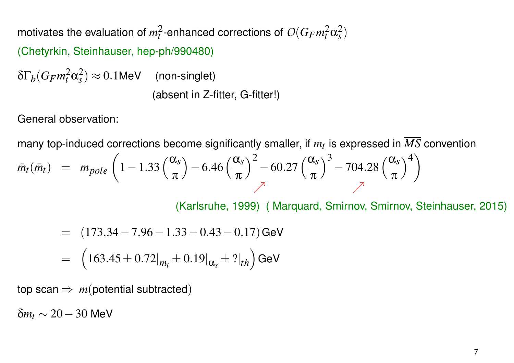motivates the evaluation of  $m_t^2$  $\frac{2}{t}$ -enhanced corrections of  $O(G_Fm_t^2\alpha_s^2)$ *s* )

(Chetyrkin, Steinhauser, hep-ph/990480)

 $δΓ<sub>b</sub>$ (*G<sub>F</sub>* $m_t^2 α_s^2$  $\binom{2}{s} \approx 0.1$ MeV (non-singlet) (absent in Z-fitter, G-fitter!)

General observation:

many top-induced corrections become significantly smaller, if *mt* is expressed in *MS* convention

$$
\bar{m}_t(\bar{m}_t) = m_{pole} \left( 1 - 1.33 \left( \frac{\alpha_s}{\pi} \right) - 6.46 \left( \frac{\alpha_s}{\pi} \right)^2 - 60.27 \left( \frac{\alpha_s}{\pi} \right)^3 - 704.28 \left( \frac{\alpha_s}{\pi} \right)^4 \right)
$$

(Karlsruhe, 1999) ( Marquard, Smirnov, Smirnov, Steinhauser, 2015)

= 
$$
(173.34 - 7.96 - 1.33 - 0.43 - 0.17)
$$
 GeV  
=  $(163.45 \pm 0.72|_{m_t} \pm 0.19|_{\alpha_s} \pm ?|_{th})$  GeV

top scan  $\Rightarrow$  *m*(potential subtracted)

 $δm<sub>t</sub>$  ~ 20 – 30 MeV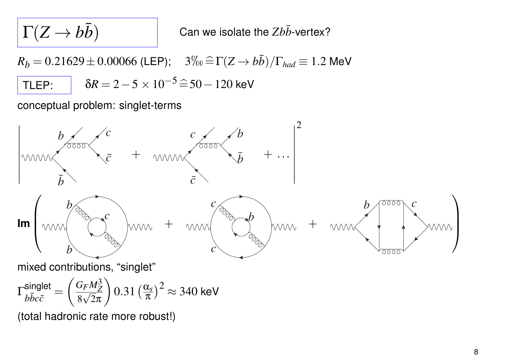$$
\Gamma(Z\to b\bar{b})
$$

Can we isolate the *Zbb*-vertex?

 $R_b = 0.21629 \pm 0.00066$  (LEP);  $3\%_0 = \Gamma(Z \rightarrow b\bar{b})/\Gamma_{had} \equiv 1.2$  MeV TLEP:  $\delta R = 2 - 5 \times 10^{-5} = 50 - 120$  keV

conceptual problem: singlet-terms



$$
\Gamma_{b\bar{b}c\bar{c}}^{\text{singlet}} = \left(\frac{G_F M_Z^3}{8\sqrt{2}\pi}\right) 0.31 \left(\frac{\alpha_s}{\pi}\right)^2 \approx 340 \text{ keV}
$$

(total hadronic rate more robust!)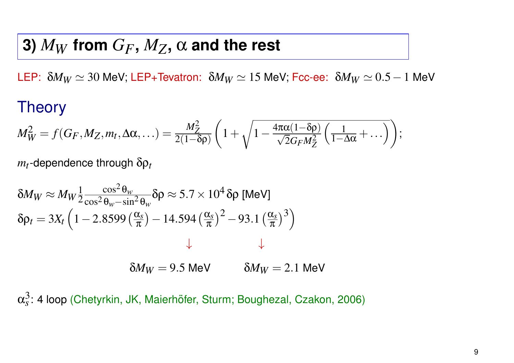## **3)**  $M_W$  from  $G_F$ ,  $M_Z$ ,  $\alpha$  and the rest

LEP:  $\delta M_W \simeq 30$  MeV; LEP+Tevatron:  $\delta M_W \simeq 15$  MeV; Fcc-ee:  $\delta M_W \simeq 0.5-1$  MeV

## **Theory**

$$
M_W^2 = f(G_F, M_Z, m_t, \Delta \alpha, \ldots) = \frac{M_Z^2}{2(1-\delta \rho)} \left( 1 + \sqrt{1 - \frac{4\pi \alpha (1-\delta \rho)}{\sqrt{2}G_F M_Z^2} \left( \frac{1}{1-\Delta \alpha} + \ldots \right)} \right);
$$

*mt* -dependence through δρ*t*

$$
\delta M_W \approx M_W \frac{1}{2} \frac{\cos^2 \theta_w}{\cos^2 \theta_w - \sin^2 \theta_w} \delta \rho \approx 5.7 \times 10^4 \delta \rho \text{ [MeV]}
$$
  

$$
\delta \rho_t = 3X_t \left( 1 - 2.8599 \left( \frac{\alpha_s}{\pi} \right) - 14.594 \left( \frac{\alpha_s}{\pi} \right)^2 - 93.1 \left( \frac{\alpha_s}{\pi} \right)^3 \right)
$$
  

$$
\downarrow
$$
  

$$
\delta M_W = 9.5 \text{ MeV} \qquad \delta M_W = 2.1 \text{ MeV}
$$

 $\alpha_s^3$  $s<sub>s</sub>$ : 4 loop (Chetyrkin, JK, Maierhöfer, Sturm; Boughezal, Czakon, 2006)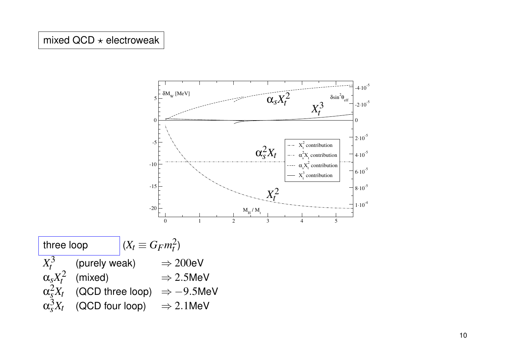#### mixed  $QCD \star$  electroweak



three loop  $(X_t \equiv G_F m_t^2)$  $X_t^3$ *t* (purely weak)  $\Rightarrow$  200eV  $\alpha_s X_t^2$ *t*  $\Rightarrow$  2.5MeV  $\alpha_{\stackrel{}{{}_S}\phantom{}_{\sim}}^2 X_t$  (QCD three loop)  $\;\Rightarrow -9.5$ MeV  $\alpha_s^3 X_t$  (QCD four loop)  $\Rightarrow$  2.1MeV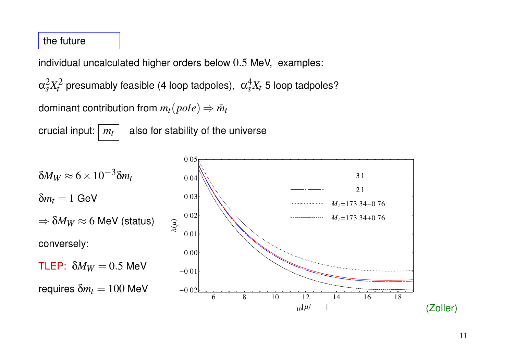#### the future

individual uncalculated higher orders below 0.5 MeV, examples:

 $\alpha_s^2 X_t^2$  presumably feasible (4 loop tadpoles),  $\alpha_s^4 X_t$  5 loop tadpoles?

dominant contribution from  $m_t(pole) \Rightarrow \bar{m}_t$ 

crucial input:  $\boxed{m_t}$  also for stability of the universe

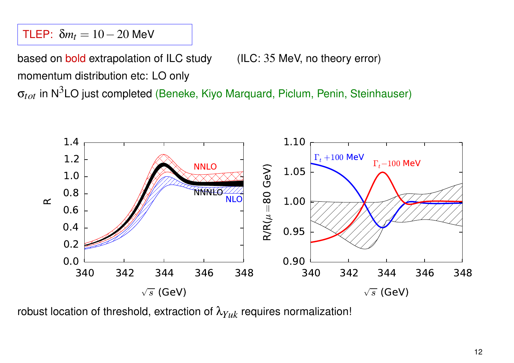TLEP:  $\delta m_t = 10 - 20$  MeV

based on bold extrapolation of ILC study (ILC: 35 MeV, no theory error) momentum distribution etc: LO only

σ*tot* in N3LO just completed (Beneke, Kiyo Marquard, Piclum, Penin, Steinhauser)



robust location of threshold, extraction of  $\lambda_{Yuk}$  requires normalization!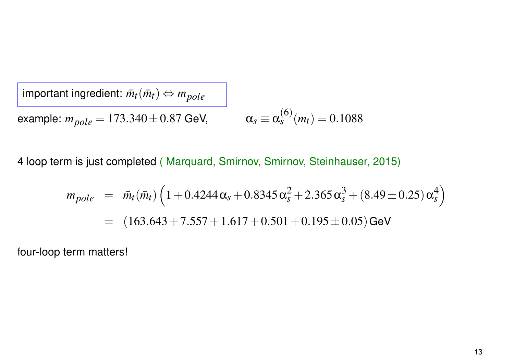$im$  *important ingredient:*  $\bar{m}_t(\bar{m}_t) \Leftrightarrow m_{pole}$ example:  $m_{pole} = 173.340 \pm 0.87$  GeV, (6)  $\binom{O}{s}(m_t) = 0.1088$ 

4 loop term is just completed ( Marquard, Smirnov, Smirnov, Steinhauser, 2015)

$$
m_{pole} = \bar{m}_t(\bar{m}_t) \left( 1 + 0.4244 \alpha_s + 0.8345 \alpha_s^2 + 2.365 \alpha_s^3 + (8.49 \pm 0.25) \alpha_s^4 \right)
$$
  
= (163.643 + 7.557 + 1.617 + 0.501 + 0.195 \pm 0.05) GeV

four-loop term matters!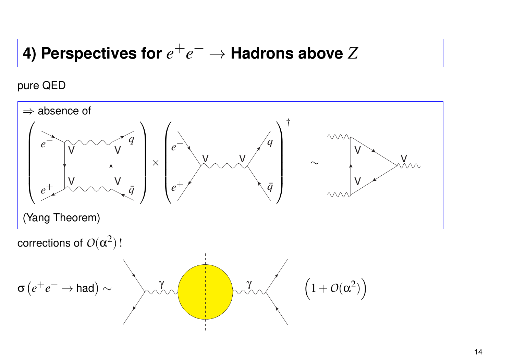# **4) Perspectives for**  $e^+e^-$  → **Hadrons above**  $Z$

pure QED

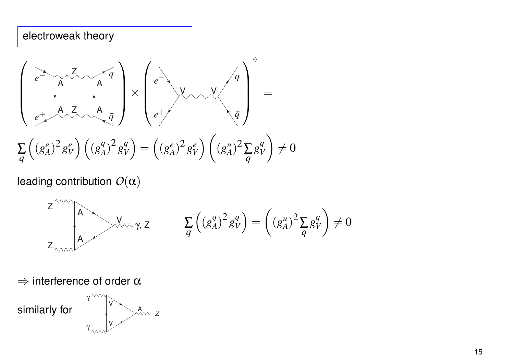#### electroweak theory

$$
\begin{pmatrix}\n\overrightarrow{e} & \overrightarrow{A} & \overrightarrow{q} \\
\overrightarrow{e} & \overrightarrow{A} & \overrightarrow{A} & \overrightarrow{q} \\
\overrightarrow{e} & \overrightarrow{A} & \overrightarrow{Q} & \overrightarrow{Q} \\
\overrightarrow{e} & \overrightarrow{Q} & \overrightarrow{Q} & \overrightarrow{Q}\n\end{pmatrix} \times \begin{pmatrix}\n\overrightarrow{e} & \overrightarrow{Q} & \overrightarrow{Q} \\
\overrightarrow{e} & \overrightarrow{Q} & \overrightarrow{Q} & \overrightarrow{Q} \\
\overrightarrow{e} & \overrightarrow{Q} & \overrightarrow{Q} & \overrightarrow{Q}\n\end{pmatrix} \times \begin{pmatrix}\n\overrightarrow{q} & \overrightarrow{Q} & \overrightarrow{Q} \\
\overrightarrow{Q} & \overrightarrow{Q} & \overrightarrow{Q}\n\end{pmatrix} \times \begin{pmatrix}\n\overrightarrow{q} & \overrightarrow{Q} & \overrightarrow{Q} \\
\overrightarrow{Q} & \overrightarrow{Q} & \overrightarrow{Q}\n\end{pmatrix} \times \begin{pmatrix}\n\overrightarrow{q} & \overrightarrow{Q} & \overrightarrow{Q} \\
\overrightarrow{Q} & \overrightarrow{Q} & \overrightarrow{Q}\n\end{pmatrix} \times \begin{pmatrix}\n\overrightarrow{q} & \overrightarrow{Q} & \overrightarrow{Q} \\
\overrightarrow{Q} & \overrightarrow{Q} & \overrightarrow{Q}\n\end{pmatrix} \times \begin{pmatrix}\n\overrightarrow{q} & \overrightarrow{Q} & \overrightarrow{Q} \\
\overrightarrow{Q} & \overrightarrow{Q} & \overrightarrow{Q}\n\end{pmatrix} \times \begin{pmatrix}\n\overrightarrow{q} & \overrightarrow{Q} & \overrightarrow{Q} \\
\overrightarrow{Q} & \overrightarrow{Q} & \overrightarrow{Q}\n\end{pmatrix} \times \begin{pmatrix}\n\overrightarrow{q} & \overrightarrow{Q} & \overrightarrow{Q} \\
\overrightarrow{Q} & \overrightarrow{Q} & \overrightarrow{Q}\n\end{pmatrix} \times \begin{pmatrix}\n\overrightarrow{q} & \overrightarrow{Q} & \overrightarrow{Q} \\
\overrightarrow{Q} & \overrightarrow{Q} & \overrightarrow{Q}\n\end{pmatrix} \times \begin{pmatrix}\n\overrightarrow{q} & \overrightarrow{Q} & \overrightarrow{Q} \\
\overrightarrow{Q} & \overrightarrow{Q} & \overrightarrow{Q}\n\end{pmatrix} \times \begin{pmatrix}\n\overrightarrow{q} & \overrightarrow{Q} & \overrightarrow{Q} \\
\overrightarrow{Q} &
$$

leading contribution *O*(α)

$$
Z^{\text{WW}}\left(\begin{matrix} A & & \\ & & \\ A & & \\ & & \end{matrix}\right) \times \mathcal{N}_{\text{WW}}Z, Z \qquad \qquad \sum_{q} \left( \left( g_A^q \right)^2 g_V^q \right) = \left( \left( g_A^u \right)^2 \sum_{q} g_V^q \right) \neq 0
$$

 $\Rightarrow$  interference of order  $\alpha$ 

similarly for V A *Z*  $\gamma^{\wedge\!\wedge\!\wedge}$  $\gamma$ <sub>www</sub>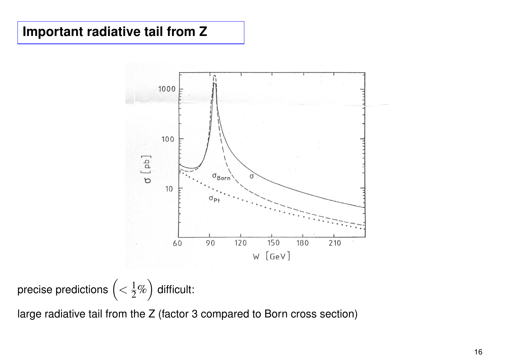### **Important radiative tail from Z**



precise predictions  $\Big(\displaystyle < \frac{1}{2}\% \Big)$  $\overline{\phantom{0}}$ difficult:

large radiative tail from the Z (factor 3 compared to Born cross section)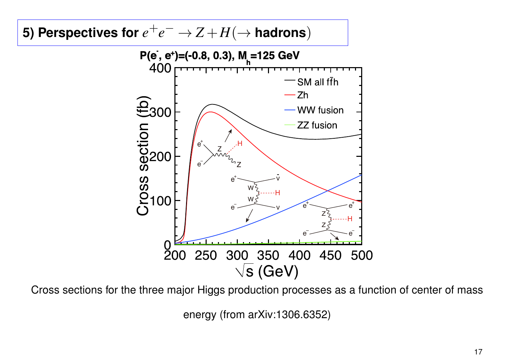## 5) Perspectives for  $e^+e^- \to Z+H(\to$  hadrons)

![](_page_16_Figure_1.jpeg)

Cross sections for the three major Higgs production processes as a function of center of mass

energy (from arXiv:1306.6352)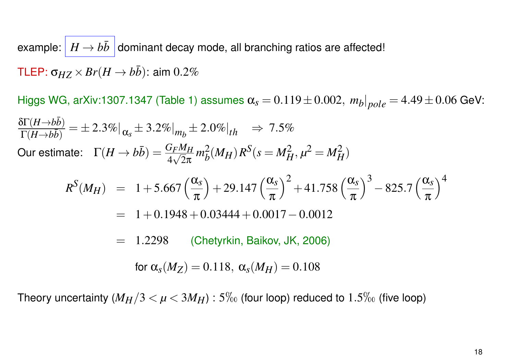example:  $H \rightarrow b\bar{b}$  dominant decay mode, all branching ratios are affected! TLEP:  $\sigma_{HZ} \times Br(H \rightarrow b\bar{b})$ : aim 0.2%

Higgs WG, arXiv:1307.1347 (Table 1) assumes α*<sup>s</sup>* = 0.119±0.002, *m<sup>b</sup>* |*pole* = 4.49±0.06 GeV:  $\frac{\delta\Gamma(H\rightarrow b\bar{b})}{\delta}$  $\frac{\partial \Gamma(H \to b\bar{b})}{\partial \Gamma(H \to b\bar{b})} = \pm 2.3\%|_{\alpha_s} \pm 3.2\%|_{m_b} \pm 2.0\%|_{th} \Rightarrow 7.5\%$  $\textsf{Our estimate:} \quad \Gamma(H\to b\bar{b}) = \frac{G_F M_H}{4\sqrt{2}\pi}$  $\frac{r}{\sqrt{2}}$  $2\pi$  $m_h^2$  $\frac{2}{b}(M_H)R^S(s=M_H^2, \mu^2=M_H^2)$  $R^{S}(M_H) = 1 + 5.667 \left(\frac{\alpha_s}{\pi}\right)$  $\pi$  $+29.147\left(\frac{\alpha_s}{2}\right)$  $\pi$  $\int_{0}^{2} +41.758\left(\frac{\alpha_{s}}{2}\right)$  $\pi$  $\sqrt{3}$  $-825.7$  $\alpha_s$  $\pi$  $\setminus^4$  $= 1+0.1948+0.03444+0.0017-0.0012$ = 1.2298 (Chetyrkin, Baikov, JK, 2006) for  $\alpha_s(M_Z) = 0.118$ ,  $\alpha_s(M_H) = 0.108$ 

Theory uncertainty  $(M_H/3 < \mu < 3M_H)$ : 5<sup>%</sup> (four loop) reduced to 1.5<sup>%</sup> (five loop)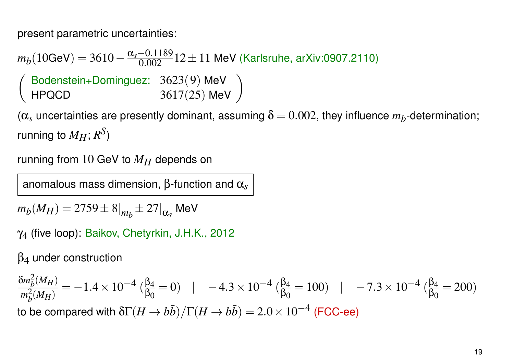present parametric uncertainties:

 $m_b(10{\rm GeV})=3610-\frac{\alpha_s-0.1189}{0.002}$ 12±11 MeV (Karlsruhe, arXiv:0907.2110)  $\sqrt{ }$ Bodenstein+Dominguez: 3623(9) MeV<br>
HPQCD 3617(25) MeV

 $(\alpha_s$  uncertainties are presently dominant, assuming  $\delta$  =  $0.002$ , they influence  $m_b$ -determination; running to  $M_H; R^S)$ 

running from 10 GeV to *MH* depends on

anomalous mass dimension, β-function and α*s*

 $m_b(M_H) = 2759 \pm 8 \vert_{m_b} \pm 27 \vert_{\alpha_s}$  MeV

γ4 (five loop): Baikov, Chetyrkin, J.H.K., 2012

 $\beta_4$  under construction

$$
\frac{\delta m_b^2(M_H)}{m_b^2(M_H)} = -1.4 \times 10^{-4} \left( \frac{\beta_4}{\beta_0} = 0 \right) \quad | \quad -4.3 \times 10^{-4} \left( \frac{\beta_4}{\beta_0} = 100 \right) \quad | \quad -7.3 \times 10^{-4} \left( \frac{\beta_4}{\beta_0} = 200 \right)
$$
\nto be compared with 

\n
$$
\delta \Gamma(H \to b\bar{b}) / \Gamma(H \to b\bar{b}) = 2.0 \times 10^{-4} \text{ (FCC-ee)}
$$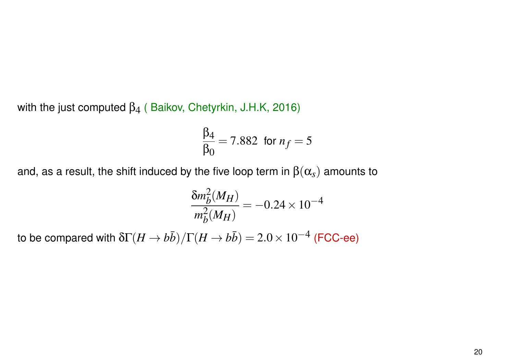with the just computed  $\beta_4$  (Baikov, Chetyrkin, J.H.K, 2016)

$$
\frac{\beta_4}{\beta_0} = 7.882
$$
 for  $n_f = 5$ 

and, as a result, the shift induced by the five loop term in  $\beta(\alpha_s)$  amounts to

$$
\frac{\delta m_b^2(M_H)}{m_b^2(M_H)} = -0.24 \times 10^{-4}
$$

to be compared with  $\delta\Gamma(H\to b\bar b)/\Gamma(H\to b\bar b) = 2.0\times 10^{-4}$  (FCC-ee)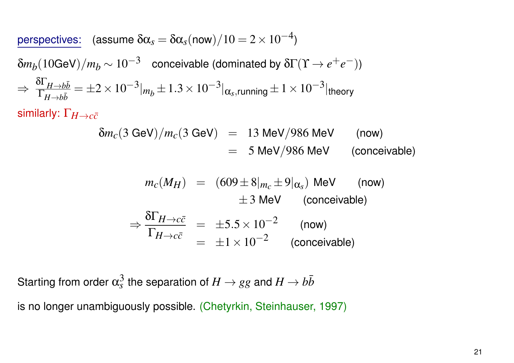$\overline{\text{perspectives:}}$  (assume  $\delta\alpha_s = \delta\alpha_s(\text{now})/10 = 2 \times 10^{-4}$ )

 $\delta m_b(10$ GeV) $/m_b$   $\sim$   $10^{-3}$   $\,$  conceivable (dominated by  $\delta \Gamma (\Upsilon \rightarrow e^+ e^-))$ ⇒  $\frac{\delta \Gamma_{H\rightarrow b\bar{b}}}{\Gamma}$  $\Gamma_{H\rightarrow b\bar{b}}$  $= \pm 2\times 10^{-3}$   $\vert_{m_b}\pm 1.3\times 10^{-3} \vert_{\pmb{\alpha}_s,\text{running}} \pm 1\times 10^{-3} \vert_{\text{theory}}$ 

similarly: Γ*H*→*cc*¯

$$
\delta m_c(3 \text{ GeV})/m_c(3 \text{ GeV}) = 13 \text{ MeV}/986 \text{ MeV} \qquad \text{(now)}
$$
  
= 5 MeV/986 MeV \qquad \text{(conceivable)}

$$
m_c(M_H) = (609 \pm 8 \vert_{m_c} \pm 9 \vert_{\alpha_s}) \text{ MeV} \qquad \text{(now)}
$$
  
\n
$$
\pm 3 \text{ MeV} \qquad \text{(conceivable)}
$$
  
\n
$$
\Rightarrow \frac{\delta \Gamma_{H \to c\bar{c}}}{\Gamma_{H \to c\bar{c}}} = \pm 5.5 \times 10^{-2} \qquad \text{(now)}
$$
  
\n
$$
= \pm 1 \times 10^{-2} \qquad \text{(conceivable)}
$$

Starting from order  $\alpha_s^3$  $\frac{3}{s}$  the separation of  $H\to gg$  and  $H\to b\bar{b}$ is no longer unambiguously possible. (Chetyrkin, Steinhauser, 1997)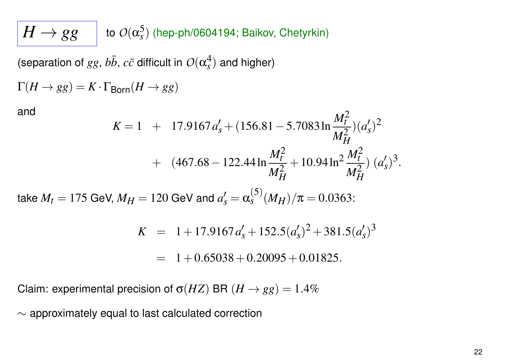$H \rightarrow gg$ 5 *s* ) (hep-ph/0604194; Baikov, Chetyrkin)

(separation of  $gg$ ,  $b\bar{b}$ ,  $c\bar{c}$  difficult in  $O(\alpha_s^4)$  $s$ <sup>4</sup>) and higher)

$$
\Gamma(H\to gg)=K\cdot\Gamma_{\mathsf{Born}}(H\to gg)
$$

and

$$
K = 1 + 17.9167 a_s' + (156.81 - 5.7083 \ln \frac{M_t^2}{M_H^2})(a_s')^2
$$
  
+ 
$$
(467.68 - 122.44 \ln \frac{M_t^2}{M_H^2} + 10.94 \ln^2 \frac{M_t^2}{M_H^2})(a_s')^3.
$$

take  $M_t=175$  GeV,  $M_H=120$  GeV and  $a_s'=\alpha$ (5)  $\int_{s}^{(3)} (M_H)/\pi = 0.0363$ :

$$
K = 1 + 17.9167 a_s' + 152.5 (a_s')^2 + 381.5 (a_s')^3
$$

$$
= 1 + 0.65038 + 0.20095 + 0.01825.
$$

Claim: experimental precision of  $\sigma(HZ)$  BR  $(H \rightarrow gg) = 1.4\%$ 

∼ approximately equal to last calculated correction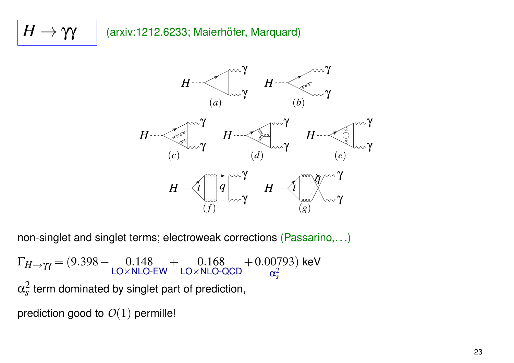## $H \rightarrow \gamma \gamma$  | (arxiv:1212.6233; Maierhöfer, Marquard)

![](_page_22_Figure_1.jpeg)

non-singlet and singlet terms; electroweak corrections (Passarino,...)

 $\Gamma_{H\to\gamma\gamma} = (9.398 - 0.148)$  $LO \times NLO$ -EW  $+$  0.168 LO×NLO-QCD +0.00793  $\alpha_s^2$ *s* ) keV  $\alpha_s^2$  $\frac{2}{s}$  term dominated by singlet part of prediction,

prediction good to *O*(1) permille!